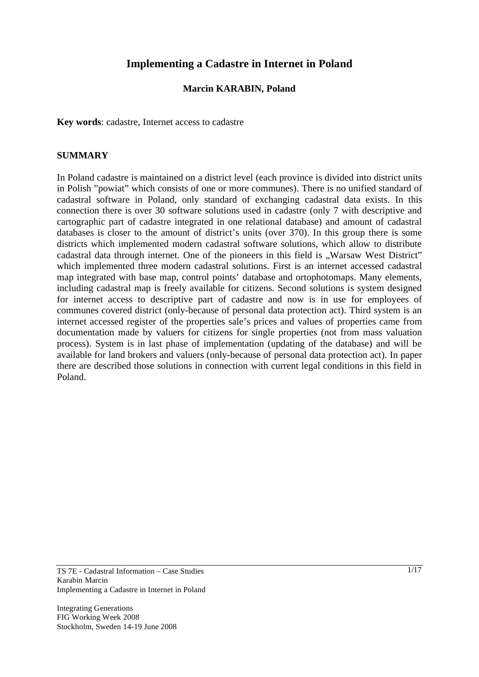# **Implementing a Cadastre in Internet in Poland**

#### **Marcin KARABIN, Poland**

**Key words**: cadastre, Internet access to cadastre

#### **SUMMARY**

In Poland cadastre is maintained on a district level (each province is divided into district units in Polish "powiat" which consists of one or more communes). There is no unified standard of cadastral software in Poland, only standard of exchanging cadastral data exists. In this connection there is over 30 software solutions used in cadastre (only 7 with descriptive and cartographic part of cadastre integrated in one relational database) and amount of cadastral databases is closer to the amount of district's units (over 370). In this group there is some districts which implemented modern cadastral software solutions, which allow to distribute cadastral data through internet. One of the pioneers in this field is "Warsaw West District" which implemented three modern cadastral solutions. First is an internet accessed cadastral map integrated with base map, control points' database and ortophotomaps. Many elements, including cadastral map is freely available for citizens. Second solutions is system designed for internet access to descriptive part of cadastre and now is in use for employees of communes covered district (only-because of personal data protection act). Third system is an internet accessed register of the properties sale's prices and values of properties came from documentation made by valuers for citizens for single properties (not from mass valuation process). System is in last phase of implementation (updating of the database) and will be available for land brokers and valuers (only-because of personal data protection act). In paper there are described those solutions in connection with current legal conditions in this field in Poland.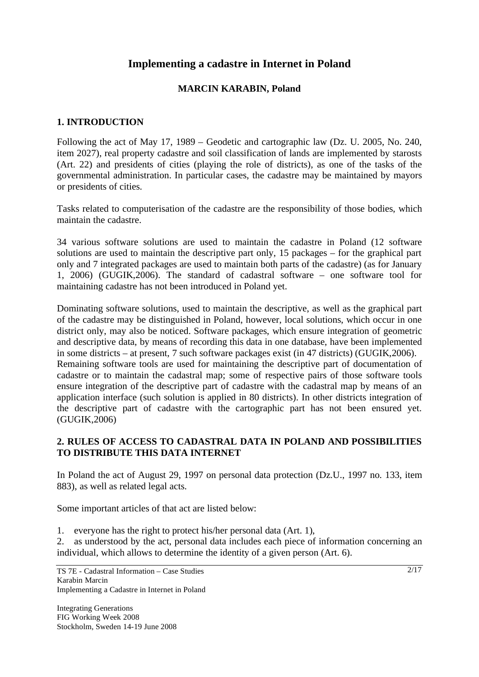# **Implementing a cadastre in Internet in Poland**

# **MARCIN KARABIN, Poland**

# **1. INTRODUCTION**

Following the act of May 17, 1989 – Geodetic and cartographic law (Dz. U. 2005, No. 240, item 2027), real property cadastre and soil classification of lands are implemented by starosts (Art. 22) and presidents of cities (playing the role of districts), as one of the tasks of the governmental administration. In particular cases, the cadastre may be maintained by mayors or presidents of cities.

Tasks related to computerisation of the cadastre are the responsibility of those bodies, which maintain the cadastre.

34 various software solutions are used to maintain the cadastre in Poland (12 software solutions are used to maintain the descriptive part only, 15 packages – for the graphical part only and 7 integrated packages are used to maintain both parts of the cadastre) (as for January 1, 2006) (GUGIK,2006). The standard of cadastral software – one software tool for maintaining cadastre has not been introduced in Poland yet.

Dominating software solutions, used to maintain the descriptive, as well as the graphical part of the cadastre may be distinguished in Poland, however, local solutions, which occur in one district only, may also be noticed. Software packages, which ensure integration of geometric and descriptive data, by means of recording this data in one database, have been implemented in some districts – at present, 7 such software packages exist (in 47 districts) (GUGIK,2006). Remaining software tools are used for maintaining the descriptive part of documentation of cadastre or to maintain the cadastral map; some of respective pairs of those software tools ensure integration of the descriptive part of cadastre with the cadastral map by means of an application interface (such solution is applied in 80 districts). In other districts integration of the descriptive part of cadastre with the cartographic part has not been ensured yet. (GUGIK,2006)

### **2. RULES OF ACCESS TO CADASTRAL DATA IN POLAND AND POSSIBILITIES TO DISTRIBUTE THIS DATA INTERNET**

In Poland the act of August 29, 1997 on personal data protection (Dz.U., 1997 no. 133, item 883), as well as related legal acts.

Some important articles of that act are listed below:

1. everyone has the right to protect his/her personal data (Art. 1),

2. as understood by the act, personal data includes each piece of information concerning an individual, which allows to determine the identity of a given person (Art. 6).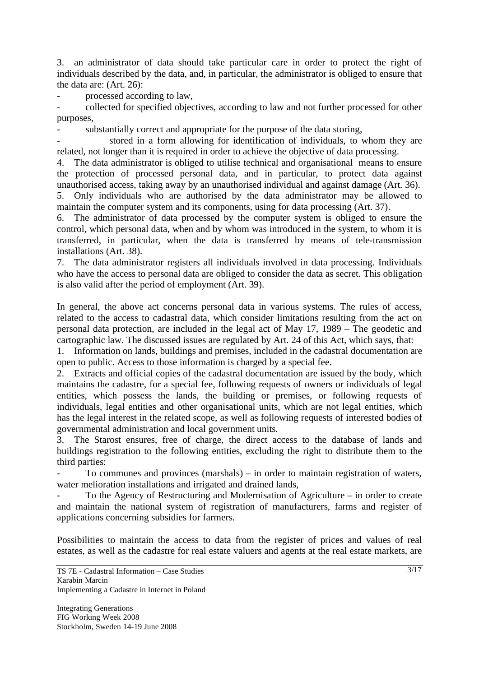3. an administrator of data should take particular care in order to protect the right of individuals described by the data, and, in particular, the administrator is obliged to ensure that the data are: (Art. 26):

processed according to law,

- collected for specified objectives, according to law and not further processed for other purposes,

- substantially correct and appropriate for the purpose of the data storing,

stored in a form allowing for identification of individuals, to whom they are related, not longer than it is required in order to achieve the objective of data processing.

4. The data administrator is obliged to utilise technical and organisational means to ensure the protection of processed personal data, and in particular, to protect data against unauthorised access, taking away by an unauthorised individual and against damage (Art. 36). 5. Only individuals who are authorised by the data administrator may be allowed to maintain the computer system and its components, using for data processing (Art. 37).

6. The administrator of data processed by the computer system is obliged to ensure the control, which personal data, when and by whom was introduced in the system, to whom it is transferred, in particular, when the data is transferred by means of tele-transmission installations (Art. 38).

7. The data administrator registers all individuals involved in data processing. Individuals who have the access to personal data are obliged to consider the data as secret. This obligation is also valid after the period of employment (Art. 39).

In general, the above act concerns personal data in various systems. The rules of access, related to the access to cadastral data, which consider limitations resulting from the act on personal data protection, are included in the legal act of May 17, 1989 – The geodetic and cartographic law. The discussed issues are regulated by Art. 24 of this Act, which says, that:

1. Information on lands, buildings and premises, included in the cadastral documentation are open to public. Access to those information is charged by a special fee.

2. Extracts and official copies of the cadastral documentation are issued by the body, which maintains the cadastre, for a special fee, following requests of owners or individuals of legal entities, which possess the lands, the building or premises, or following requests of individuals, legal entities and other organisational units, which are not legal entities, which has the legal interest in the related scope, as well as following requests of interested bodies of governmental administration and local government units.

3. The Starost ensures, free of charge, the direct access to the database of lands and buildings registration to the following entities, excluding the right to distribute them to the third parties:

To communes and provinces (marshals) – in order to maintain registration of waters, water melioration installations and irrigated and drained lands,

To the Agency of Restructuring and Modernisation of Agriculture – in order to create and maintain the national system of registration of manufacturers, farms and register of applications concerning subsidies for farmers.

Possibilities to maintain the access to data from the register of prices and values of real estates, as well as the cadastre for real estate valuers and agents at the real estate markets, are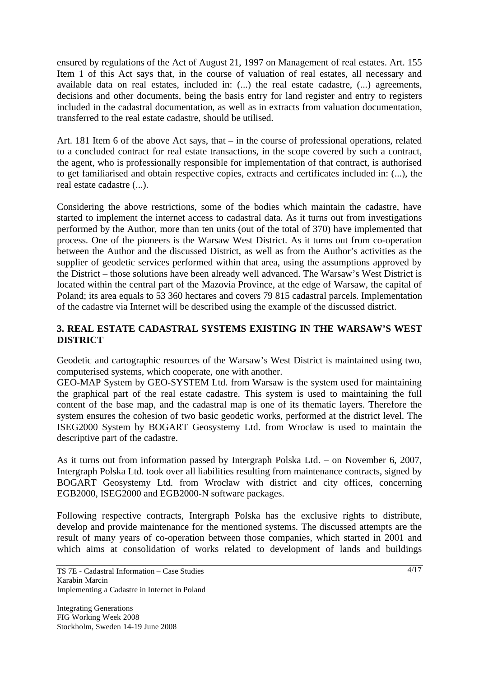ensured by regulations of the Act of August 21, 1997 on Management of real estates. Art. 155 Item 1 of this Act says that, in the course of valuation of real estates, all necessary and available data on real estates, included in: (...) the real estate cadastre, (...) agreements, decisions and other documents, being the basis entry for land register and entry to registers included in the cadastral documentation, as well as in extracts from valuation documentation, transferred to the real estate cadastre, should be utilised.

Art. 181 Item 6 of the above Act says, that – in the course of professional operations, related to a concluded contract for real estate transactions, in the scope covered by such a contract, the agent, who is professionally responsible for implementation of that contract, is authorised to get familiarised and obtain respective copies, extracts and certificates included in: (...), the real estate cadastre (...).

Considering the above restrictions, some of the bodies which maintain the cadastre, have started to implement the internet access to cadastral data. As it turns out from investigations performed by the Author, more than ten units (out of the total of 370) have implemented that process. One of the pioneers is the Warsaw West District. As it turns out from co-operation between the Author and the discussed District, as well as from the Author's activities as the supplier of geodetic services performed within that area, using the assumptions approved by the District – those solutions have been already well advanced. The Warsaw's West District is located within the central part of the Mazovia Province, at the edge of Warsaw, the capital of Poland; its area equals to 53 360 hectares and covers 79 815 cadastral parcels. Implementation of the cadastre via Internet will be described using the example of the discussed district.

# **3. REAL ESTATE CADASTRAL SYSTEMS EXISTING IN THE WARSAW'S WEST DISTRICT**

Geodetic and cartographic resources of the Warsaw's West District is maintained using two, computerised systems, which cooperate, one with another.

GEO-MAP System by GEO-SYSTEM Ltd. from Warsaw is the system used for maintaining the graphical part of the real estate cadastre. This system is used to maintaining the full content of the base map, and the cadastral map is one of its thematic layers. Therefore the system ensures the cohesion of two basic geodetic works, performed at the district level. The ISEG2000 System by BOGART Geosystemy Ltd. from Wrocław is used to maintain the descriptive part of the cadastre.

As it turns out from information passed by Intergraph Polska Ltd. – on November 6, 2007, Intergraph Polska Ltd. took over all liabilities resulting from maintenance contracts, signed by BOGART Geosystemy Ltd. from Wrocław with district and city offices, concerning EGB2000, ISEG2000 and EGB2000-N software packages.

Following respective contracts, Intergraph Polska has the exclusive rights to distribute, develop and provide maintenance for the mentioned systems. The discussed attempts are the result of many years of co-operation between those companies, which started in 2001 and which aims at consolidation of works related to development of lands and buildings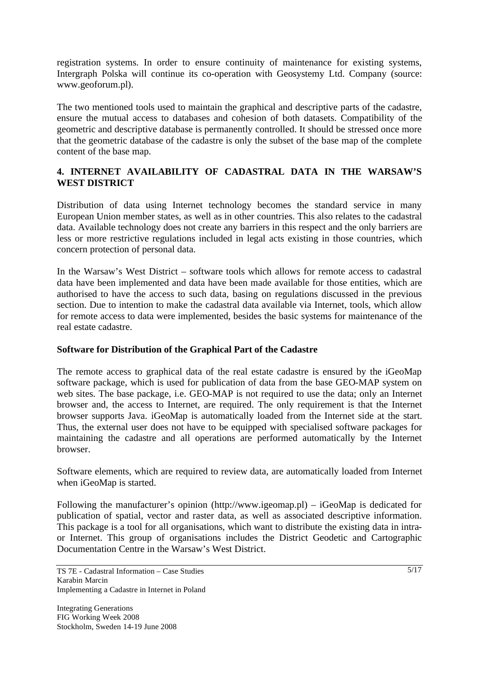registration systems. In order to ensure continuity of maintenance for existing systems, Intergraph Polska will continue its co-operation with Geosystemy Ltd. Company (source: www.geoforum.pl).

The two mentioned tools used to maintain the graphical and descriptive parts of the cadastre, ensure the mutual access to databases and cohesion of both datasets. Compatibility of the geometric and descriptive database is permanently controlled. It should be stressed once more that the geometric database of the cadastre is only the subset of the base map of the complete content of the base map.

# **4. INTERNET AVAILABILITY OF CADASTRAL DATA IN THE WARSAW'S WEST DISTRICT**

Distribution of data using Internet technology becomes the standard service in many European Union member states, as well as in other countries. This also relates to the cadastral data. Available technology does not create any barriers in this respect and the only barriers are less or more restrictive regulations included in legal acts existing in those countries, which concern protection of personal data.

In the Warsaw's West District – software tools which allows for remote access to cadastral data have been implemented and data have been made available for those entities, which are authorised to have the access to such data, basing on regulations discussed in the previous section. Due to intention to make the cadastral data available via Internet, tools, which allow for remote access to data were implemented, besides the basic systems for maintenance of the real estate cadastre.

### **Software for Distribution of the Graphical Part of the Cadastre**

The remote access to graphical data of the real estate cadastre is ensured by the iGeoMap software package, which is used for publication of data from the base GEO-MAP system on web sites. The base package, i.e. GEO-MAP is not required to use the data; only an Internet browser and, the access to Internet, are required. The only requirement is that the Internet browser supports Java. iGeoMap is automatically loaded from the Internet side at the start. Thus, the external user does not have to be equipped with specialised software packages for maintaining the cadastre and all operations are performed automatically by the Internet browser.

Software elements, which are required to review data, are automatically loaded from Internet when iGeoMap is started.

Following the manufacturer's opinion (http://www.igeomap.pl) – iGeoMap is dedicated for publication of spatial, vector and raster data, as well as associated descriptive information. This package is a tool for all organisations, which want to distribute the existing data in intraor Internet. This group of organisations includes the District Geodetic and Cartographic Documentation Centre in the Warsaw's West District.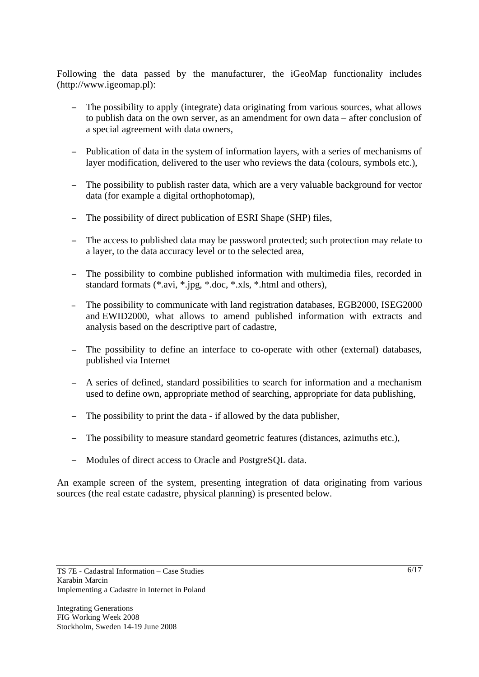Following the data passed by the manufacturer, the iGeoMap functionality includes (http://www.igeomap.pl):

- The possibility to apply (integrate) data originating from various sources, what allows to publish data on the own server, as an amendment for own data – after conclusion of a special agreement with data owners,
- Publication of data in the system of information layers, with a series of mechanisms of layer modification, delivered to the user who reviews the data (colours, symbols etc.),
- The possibility to publish raster data, which are a very valuable background for vector data (for example a digital orthophotomap),
- The possibility of direct publication of ESRI Shape (SHP) files,
- The access to published data may be password protected; such protection may relate to a layer, to the data accuracy level or to the selected area,
- The possibility to combine published information with multimedia files, recorded in standard formats (\*.avi, \*.jpg, \*.doc, \*.xls, \*.html and others),
- The possibility to communicate with land registration databases, EGB2000, ISEG2000 and EWID2000, what allows to amend published information with extracts and analysis based on the descriptive part of cadastre,
- The possibility to define an interface to co-operate with other (external) databases, published via Internet
- A series of defined, standard possibilities to search for information and a mechanism used to define own, appropriate method of searching, appropriate for data publishing,
- The possibility to print the data if allowed by the data publisher,
- The possibility to measure standard geometric features (distances, azimuths etc.),
- Modules of direct access to Oracle and PostgreSQL data.

An example screen of the system, presenting integration of data originating from various sources (the real estate cadastre, physical planning) is presented below.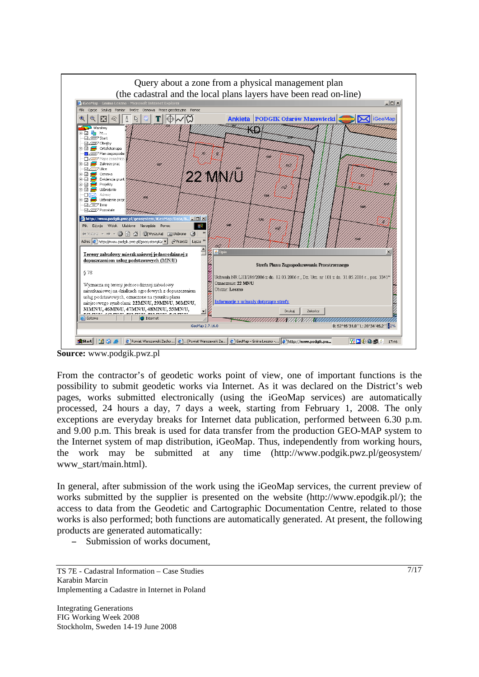

**Source:** www.podgik.pwz.pl

From the contractor's of geodetic works point of view, one of important functions is the possibility to submit geodetic works via Internet. As it was declared on the District's web pages, works submitted electronically (using the iGeoMap services) are automatically processed, 24 hours a day, 7 days a week, starting from February 1, 2008. The only exceptions are everyday breaks for Internet data publication, performed between 6.30 p.m. and 9.00 p.m. This break is used for data transfer from the production GEO-MAP system to the Internet system of map distribution, iGeoMap. Thus, independently from working hours, the work may be submitted at any time (http://www.podgik.pwz.pl/geosystem/ www\_start/main.html).

In general, after submission of the work using the iGeoMap services, the current preview of works submitted by the supplier is presented on the website (http://www.epodgik.pl/); the access to data from the Geodetic and Cartographic Documentation Centre, related to those works is also performed; both functions are automatically generated. At present, the following products are generated automatically:

Submission of works document,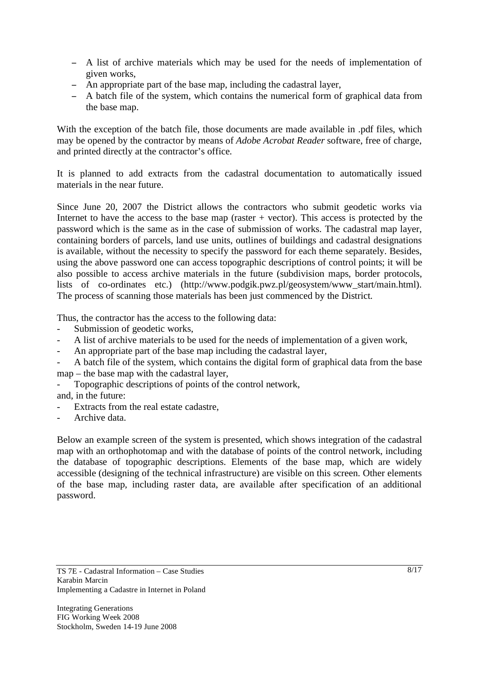- A list of archive materials which may be used for the needs of implementation of given works,
- An appropriate part of the base map, including the cadastral layer,
- A batch file of the system, which contains the numerical form of graphical data from the base map.

With the exception of the batch file, those documents are made available in .pdf files, which may be opened by the contractor by means of *Adobe Acrobat Reader* software, free of charge, and printed directly at the contractor's office.

It is planned to add extracts from the cadastral documentation to automatically issued materials in the near future.

Since June 20, 2007 the District allows the contractors who submit geodetic works via Internet to have the access to the base map (raster  $+$  vector). This access is protected by the password which is the same as in the case of submission of works. The cadastral map layer, containing borders of parcels, land use units, outlines of buildings and cadastral designations is available, without the necessity to specify the password for each theme separately. Besides, using the above password one can access topographic descriptions of control points; it will be also possible to access archive materials in the future (subdivision maps, border protocols, lists of co-ordinates etc.) (http://www.podgik.pwz.pl/geosystem/www\_start/main.html). The process of scanning those materials has been just commenced by the District.

Thus, the contractor has the access to the following data:

- Submission of geodetic works,
- A list of archive materials to be used for the needs of implementation of a given work,
- An appropriate part of the base map including the cadastral layer,
- A batch file of the system, which contains the digital form of graphical data from the base map – the base map with the cadastral layer,
- Topographic descriptions of points of the control network,
- and, in the future:
- Extracts from the real estate cadastre.
- Archive data.

Below an example screen of the system is presented, which shows integration of the cadastral map with an orthophotomap and with the database of points of the control network, including the database of topographic descriptions. Elements of the base map, which are widely accessible (designing of the technical infrastructure) are visible on this screen. Other elements of the base map, including raster data, are available after specification of an additional password.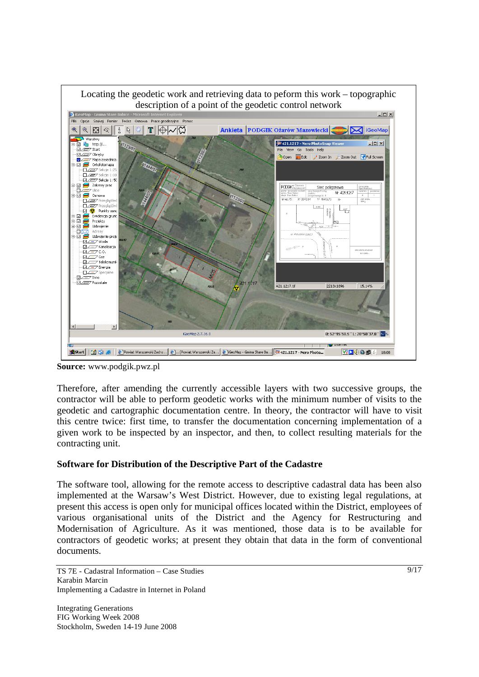

**Source:** www.podgik.pwz.pl

Therefore, after amending the currently accessible layers with two successive groups, the contractor will be able to perform geodetic works with the minimum number of visits to the geodetic and cartographic documentation centre. In theory, the contractor will have to visit this centre twice: first time, to transfer the documentation concerning implementation of a given work to be inspected by an inspector, and then, to collect resulting materials for the contracting unit.

#### **Software for Distribution of the Descriptive Part of the Cadastre**

The software tool, allowing for the remote access to descriptive cadastral data has been also implemented at the Warsaw's West District. However, due to existing legal regulations, at present this access is open only for municipal offices located within the District, employees of various organisational units of the District and the Agency for Restructuring and Modernisation of Agriculture. As it was mentioned, those data is to be available for contractors of geodetic works; at present they obtain that data in the form of conventional documents.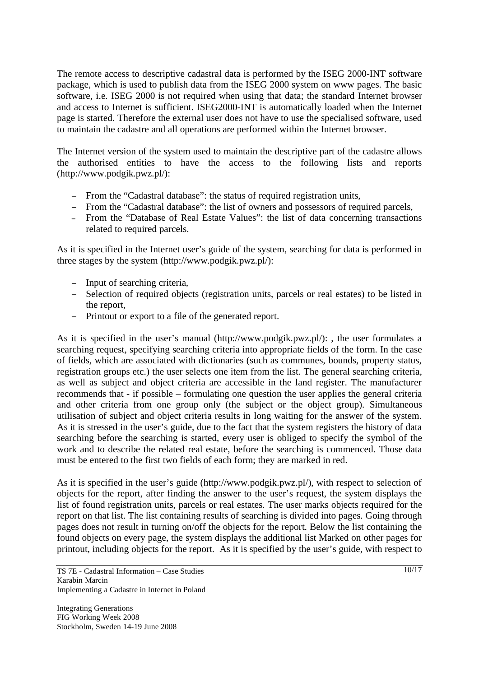The remote access to descriptive cadastral data is performed by the ISEG 2000-INT software package, which is used to publish data from the ISEG 2000 system on www pages. The basic software, i.e. ISEG 2000 is not required when using that data; the standard Internet browser and access to Internet is sufficient. ISEG2000-INT is automatically loaded when the Internet page is started. Therefore the external user does not have to use the specialised software, used to maintain the cadastre and all operations are performed within the Internet browser.

The Internet version of the system used to maintain the descriptive part of the cadastre allows the authorised entities to have the access to the following lists and reports (http://www.podgik.pwz.pl/):

- From the "Cadastral database": the status of required registration units,
- From the "Cadastral database": the list of owners and possessors of required parcels,
- From the "Database of Real Estate Values": the list of data concerning transactions related to required parcels.

As it is specified in the Internet user's guide of the system, searching for data is performed in three stages by the system (http://www.podgik.pwz.pl/):

- Input of searching criteria,
- Selection of required objects (registration units, parcels or real estates) to be listed in the report,
- Printout or export to a file of the generated report.

As it is specified in the user's manual (http://www.podgik.pwz.pl/): , the user formulates a searching request, specifying searching criteria into appropriate fields of the form. In the case of fields, which are associated with dictionaries (such as communes, bounds, property status, registration groups etc.) the user selects one item from the list. The general searching criteria, as well as subject and object criteria are accessible in the land register. The manufacturer recommends that - if possible – formulating one question the user applies the general criteria and other criteria from one group only (the subject or the object group). Simultaneous utilisation of subject and object criteria results in long waiting for the answer of the system. As it is stressed in the user's guide, due to the fact that the system registers the history of data searching before the searching is started, every user is obliged to specify the symbol of the work and to describe the related real estate, before the searching is commenced. Those data must be entered to the first two fields of each form; they are marked in red.

As it is specified in the user's guide (http://www.podgik.pwz.pl/), with respect to selection of objects for the report, after finding the answer to the user's request, the system displays the list of found registration units, parcels or real estates. The user marks objects required for the report on that list. The list containing results of searching is divided into pages. Going through pages does not result in turning on/off the objects for the report. Below the list containing the found objects on every page, the system displays the additional list Marked on other pages for printout, including objects for the report. As it is specified by the user's guide, with respect to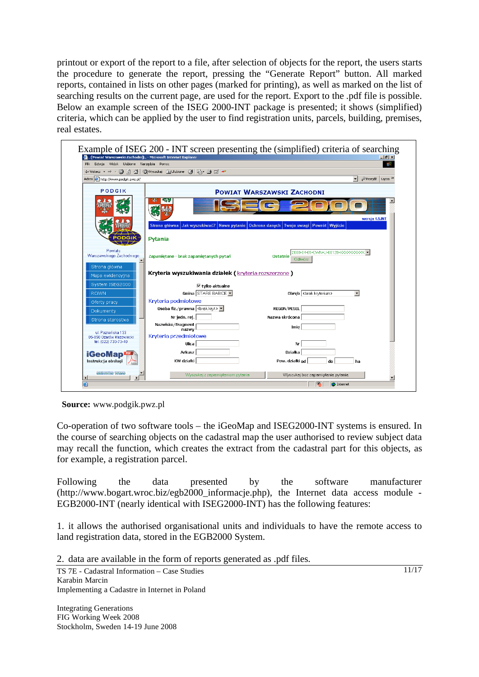printout or export of the report to a file, after selection of objects for the report, the users starts the procedure to generate the report, pressing the "Generate Report" button. All marked reports, contained in lists on other pages (marked for printing), as well as marked on the list of searching results on the current page, are used for the report. Export to the .pdf file is possible. Below an example screen of the ISEG 2000-INT package is presented; it shows (simplified) criteria, which can be applied by the user to find registration units, parcels, building, premises, real estates.



**Source:** www.podgik.pwz.pl

Co-operation of two software tools – the iGeoMap and ISEG2000-INT systems is ensured. In the course of searching objects on the cadastral map the user authorised to review subject data may recall the function, which creates the extract from the cadastral part for this objects, as for example, a registration parcel.

Following the data presented by the software manufacturer (http://www.bogart.wroc.biz/egb2000\_informacje.php), the Internet data access module - EGB2000-INT (nearly identical with ISEG2000-INT) has the following features:

1. it allows the authorised organisational units and individuals to have the remote access to land registration data, stored in the EGB2000 System.

2. data are available in the form of reports generated as .pdf files.

TS 7E - Cadastral Information – Case Studies Karabin Marcin Implementing a Cadastre in Internet in Poland

Integrating Generations FIG Working Week 2008 Stockholm, Sweden 14-19 June 2008 11/17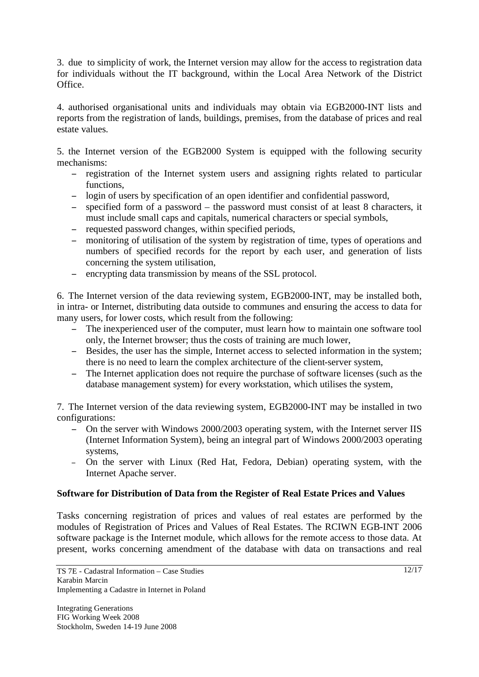3. due to simplicity of work, the Internet version may allow for the access to registration data for individuals without the IT background, within the Local Area Network of the District Office.

4. authorised organisational units and individuals may obtain via EGB2000-INT lists and reports from the registration of lands, buildings, premises, from the database of prices and real estate values.

5. the Internet version of the EGB2000 System is equipped with the following security mechanisms:

- registration of the Internet system users and assigning rights related to particular functions,
- login of users by specification of an open identifier and confidential password,
- specified form of a password the password must consist of at least 8 characters, it must include small caps and capitals, numerical characters or special symbols,
- requested password changes, within specified periods,
- monitoring of utilisation of the system by registration of time, types of operations and numbers of specified records for the report by each user, and generation of lists concerning the system utilisation,
- encrypting data transmission by means of the SSL protocol.

6. The Internet version of the data reviewing system, EGB2000-INT, may be installed both, in intra- or Internet, distributing data outside to communes and ensuring the access to data for many users, for lower costs, which result from the following:

- The inexperienced user of the computer, must learn how to maintain one software tool only, the Internet browser; thus the costs of training are much lower,
- Besides, the user has the simple, Internet access to selected information in the system; there is no need to learn the complex architecture of the client-server system,
- The Internet application does not require the purchase of software licenses (such as the database management system) for every workstation, which utilises the system,

7. The Internet version of the data reviewing system, EGB2000-INT may be installed in two configurations:

- On the server with Windows 2000/2003 operating system, with the Internet server IIS (Internet Information System), being an integral part of Windows 2000/2003 operating systems,
- On the server with Linux (Red Hat, Fedora, Debian) operating system, with the Internet Apache server.

# **Software for Distribution of Data from the Register of Real Estate Prices and Values**

Tasks concerning registration of prices and values of real estates are performed by the modules of Registration of Prices and Values of Real Estates. The RCIWN EGB-INT 2006 software package is the Internet module, which allows for the remote access to those data. At present, works concerning amendment of the database with data on transactions and real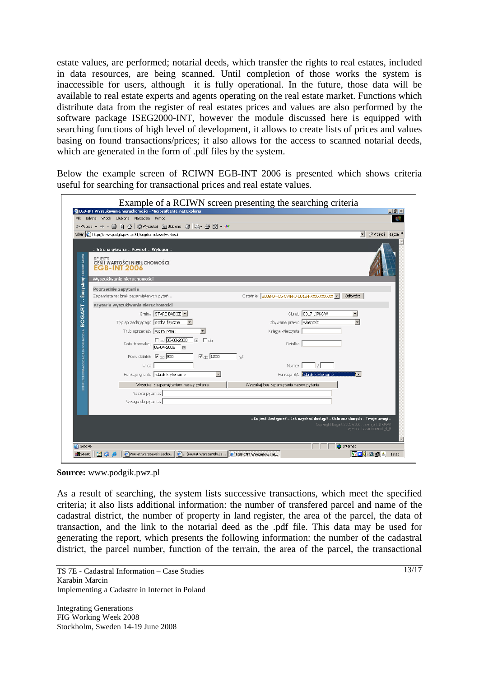estate values, are performed; notarial deeds, which transfer the rights to real estates, included in data resources, are being scanned. Until completion of those works the system is inaccessible for users, although it is fully operational. In the future, those data will be available to real estate experts and agents operating on the real estate market. Functions which distribute data from the register of real estates prices and values are also performed by the software package ISEG2000-INT, however the module discussed here is equipped with searching functions of high level of development, it allows to create lists of prices and values basing on found transactions/prices; it also allows for the access to scanned notarial deeds, which are generated in the form of .pdf files by the system.

Below the example screen of RCIWN EGB-INT 2006 is presented which shows criteria useful for searching for transactional prices and real estate values.

|                                                                                                                    | Example of a RCIWN screen presenting the searching criteria                                                                                                  |
|--------------------------------------------------------------------------------------------------------------------|--------------------------------------------------------------------------------------------------------------------------------------------------------------|
| EGB-INT Wyszukiwanie nieruchomości - Microsoft Internet Explorer                                                   | $   \times$                                                                                                                                                  |
| Plik<br>Edvcia Widok Ulubione Narzedzia Pomoc                                                                      |                                                                                                                                                              |
|                                                                                                                    |                                                                                                                                                              |
| Adres ( http://www.podgik.pwz.pl:81/iseg/formularze/wartosci                                                       | Przejdź Łącza >><br>$\mathbf{r}$                                                                                                                             |
| :: Strona główna :: Powrót :: Wyloguj ::                                                                           |                                                                                                                                                              |
| Geosystemy Tadeusz Lasota<br><b>REJESTR</b><br>CEN I WARTOŚCI NIERUCHOMOŚCI<br><b>EGB-INT 2006</b>                 |                                                                                                                                                              |
| Wyszukiwanie nieruchomości                                                                                         |                                                                                                                                                              |
| Poprzednie zapytania                                                                                               |                                                                                                                                                              |
| Zapamiętane: brak zapamiętanych pytań                                                                              | Ostatnie: 2008-04-05-CWN-U-00124-XXXXXXXXXX V<br>Odtwórz                                                                                                     |
| <b>BOGART:</b><br>Kryteria wyszukiwania nieruchomości                                                              |                                                                                                                                                              |
| Gmina STARE BABICE                                                                                                 | Obreb 0017 LIPKÓW<br>$\overline{\phantom{a}}$                                                                                                                |
| Typ sprzedającego osoba fizyczna                                                                                   | $\overline{\phantom{0}}$<br>Zbywane prawo własność                                                                                                           |
| Tryb sprzedaży wolny rynek                                                                                         | Księga wieczysta                                                                                                                                             |
| <b>COMPUTEROWAASOCJACJA INFORMACYJNA</b><br>□ od 05-03-2008<br><b>国</b> □ do<br>Data transakcji<br>05-04-2008<br>同 | <b>Działka</b>                                                                                                                                               |
| Pow. działek $\nabla_{\text{nd}}$ 900<br>$\overline{\phantom{a}}$ do $\overline{\phantom{a}}$ 1200                 | m <sup>2</sup>                                                                                                                                               |
| Ulica                                                                                                              | Numer                                                                                                                                                        |
| Funkcja gruntu<br><br>kryterium><br>$\blacktriangledown$                                                           |                                                                                                                                                              |
| Wyszukaj z zapamiętaniem nazwy pytania                                                                             | Wyszukaj bez zapamietania nazwy pytania                                                                                                                      |
| Nazwa pytania:                                                                                                     |                                                                                                                                                              |
| Uwaqa do pytania:                                                                                                  |                                                                                                                                                              |
|                                                                                                                    |                                                                                                                                                              |
|                                                                                                                    | : Co jest dostępne? : Jak uzyskać dostęp? :: Ochrona danych :: Twoje uwagi ::<br>Copyright Bogart 2005-2006 :: wersja INT-JAVA<br>używana baza: internet 4 5 |
| e Gotowe                                                                                                           | <b>O</b> Internet                                                                                                                                            |
| EGB-INT Wyszukiwani<br>面白身<br>Powiat Warszawski Zacho<br><b>a</b> Start                                            | 四日牛鱼鱼鱼<br>18:11                                                                                                                                              |

**Source:** www.podgik.pwz.pl

As a result of searching, the system lists successive transactions, which meet the specified criteria; it also lists additional information: the number of transfered parcel and name of the cadastral district, the number of property in land register, the area of the parcel, the data of transaction, and the link to the notarial deed as the .pdf file. This data may be used for generating the report, which presents the following information: the number of the cadastral district, the parcel number, function of the terrain, the area of the parcel, the transactional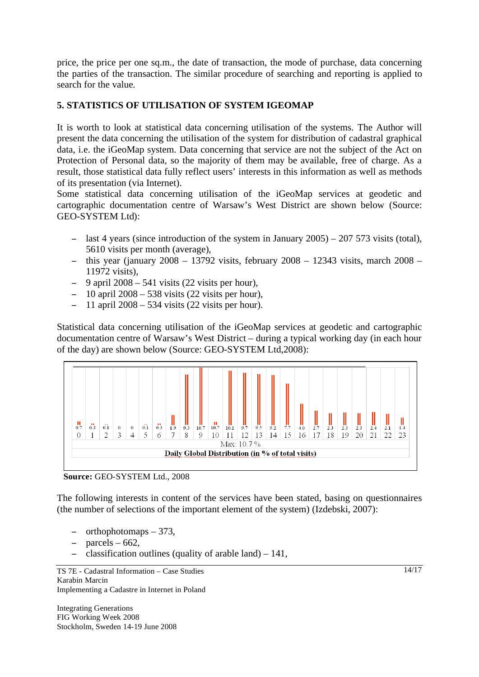price, the price per one sq.m., the date of transaction, the mode of purchase, data concerning the parties of the transaction. The similar procedure of searching and reporting is applied to search for the value.

# **5. STATISTICS OF UTILISATION OF SYSTEM IGEOMAP**

It is worth to look at statistical data concerning utilisation of the systems. The Author will present the data concerning the utilisation of the system for distribution of cadastral graphical data, i.e. the iGeoMap system. Data concerning that service are not the subject of the Act on Protection of Personal data, so the majority of them may be available, free of charge. As a result, those statistical data fully reflect users' interests in this information as well as methods of its presentation (via Internet).

Some statistical data concerning utilisation of the iGeoMap services at geodetic and cartographic documentation centre of Warsaw's West District are shown below (Source: GEO-SYSTEM Ltd):

- last 4 years (since introduction of the system in January  $2005$ )  $207\,573$  visits (total), 5610 visits per month (average),
- this year (january  $2008 13792$  visits, february  $2008 12343$  visits, march  $2008 -$ 11972 visits),
- $-$  9 april 2008 541 visits (22 visits per hour),
- $-10$  april 2008 538 visits (22 visits per hour),
- $-11$  april 2008 534 visits (22 visits per hour).

Statistical data concerning utilisation of the iGeoMap services at geodetic and cartographic documentation centre of Warsaw's West District – during a typical working day (in each hour of the day) are shown below (Source: GEO-SYSTEM Ltd,2008):





The following interests in content of the services have been stated, basing on questionnaires (the number of selections of the important element of the system) (Izdebski, 2007):

- orthophotomaps 373,
- parcels  $-662$ ,
- classification outlines (quality of arable land)  $-141$ ,

TS 7E - Cadastral Information – Case Studies Karabin Marcin Implementing a Cadastre in Internet in Poland

Integrating Generations FIG Working Week 2008 Stockholm, Sweden 14-19 June 2008 14/17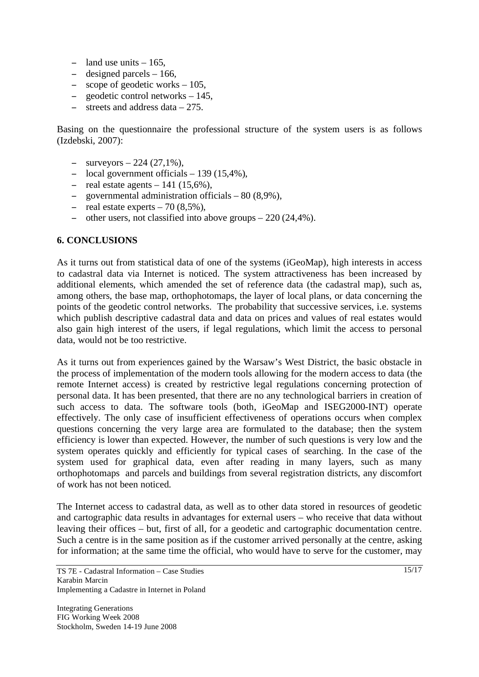- land use units  $-165$ ,
- $-$  designed parcels  $-166$ ,
- $\sim$  scope of geodetic works  $-105$ ,
- geodetic control networks 145,
- $\frac{1}{2}$  streets and address data 275.

Basing on the questionnaire the professional structure of the system users is as follows (Izdebski, 2007):

- $-$  surveyors  $-224$  (27,1%),
- local government officials  $-139(15,4\%)$ ,
- real estate agents  $-141$  (15,6%),
- governmental administration officials 80 (8,9%),
- real estate experts  $-70$  (8,5%),
- other users, not classified into above groups  $-220(24.4\%)$ .

#### **6. CONCLUSIONS**

As it turns out from statistical data of one of the systems (iGeoMap), high interests in access to cadastral data via Internet is noticed. The system attractiveness has been increased by additional elements, which amended the set of reference data (the cadastral map), such as, among others, the base map, orthophotomaps, the layer of local plans, or data concerning the points of the geodetic control networks. The probability that successive services, i.e. systems which publish descriptive cadastral data and data on prices and values of real estates would also gain high interest of the users, if legal regulations, which limit the access to personal data, would not be too restrictive.

As it turns out from experiences gained by the Warsaw's West District, the basic obstacle in the process of implementation of the modern tools allowing for the modern access to data (the remote Internet access) is created by restrictive legal regulations concerning protection of personal data. It has been presented, that there are no any technological barriers in creation of such access to data. The software tools (both, iGeoMap and ISEG2000-INT) operate effectively. The only case of insufficient effectiveness of operations occurs when complex questions concerning the very large area are formulated to the database; then the system efficiency is lower than expected. However, the number of such questions is very low and the system operates quickly and efficiently for typical cases of searching. In the case of the system used for graphical data, even after reading in many layers, such as many orthophotomaps and parcels and buildings from several registration districts, any discomfort of work has not been noticed.

The Internet access to cadastral data, as well as to other data stored in resources of geodetic and cartographic data results in advantages for external users – who receive that data without leaving their offices – but, first of all, for a geodetic and cartographic documentation centre. Such a centre is in the same position as if the customer arrived personally at the centre, asking for information; at the same time the official, who would have to serve for the customer, may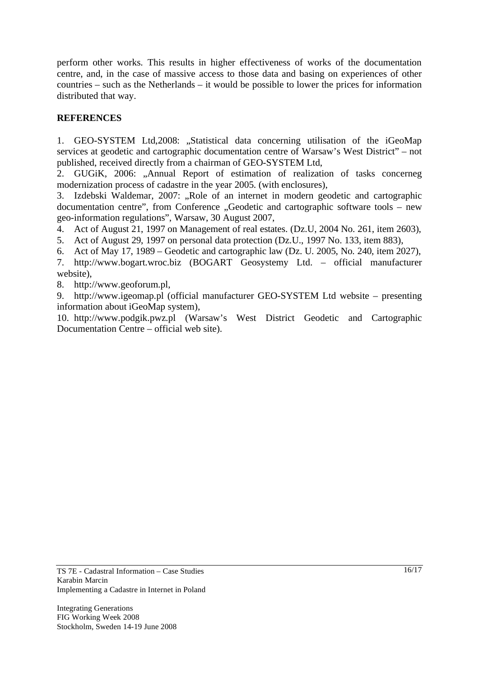perform other works. This results in higher effectiveness of works of the documentation centre, and, in the case of massive access to those data and basing on experiences of other countries – such as the Netherlands – it would be possible to lower the prices for information distributed that way.

# **REFERENCES**

1. GEO-SYSTEM Ltd, 2008: "Statistical data concerning utilisation of the iGeoMap services at geodetic and cartographic documentation centre of Warsaw's West District" – not published, received directly from a chairman of GEO-SYSTEM Ltd,

2. GUGiK, 2006: "Annual Report of estimation of realization of tasks concerneg modernization process of cadastre in the year 2005. (with enclosures),

3. Izdebski Waldemar, 2007: "Role of an internet in modern geodetic and cartographic documentation centre", from Conference "Geodetic and cartographic software tools – new geo-information regulations", Warsaw, 30 August 2007,

4. Act of August 21, 1997 on Management of real estates. (Dz.U, 2004 No. 261, item 2603),

5. Act of August 29, 1997 on personal data protection (Dz.U., 1997 No. 133, item 883),

6. Act of May 17, 1989 – Geodetic and cartographic law (Dz. U. 2005, No. 240, item 2027),

7. http://www.bogart.wroc.biz (BOGART Geosystemy Ltd. – official manufacturer website),

8. http://www.geoforum.pl,

9. http://www.igeomap.pl (official manufacturer GEO-SYSTEM Ltd website – presenting information about iGeoMap system),

10. http://www.podgik.pwz.pl (Warsaw's West District Geodetic and Cartographic Documentation Centre – official web site).